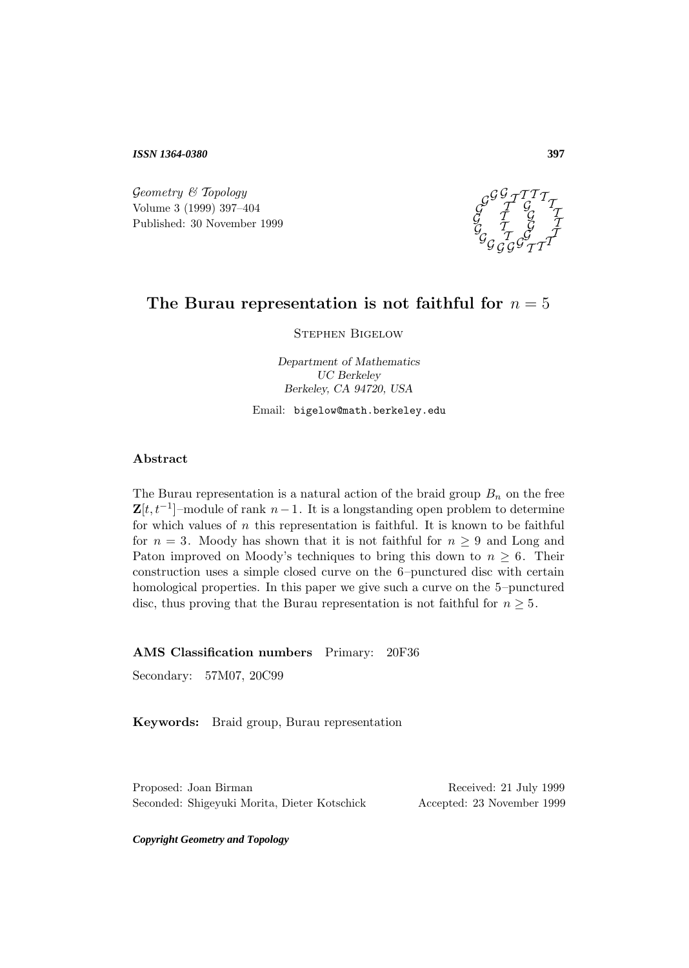*ISSN 1364-0380*

 $Geometry \& Topology$ Volume 3 (1999) 397–404 Published: 30 November 1999



### The Burau representation is not faithful for  $n = 5$

Stephen Bigelow

*Department of Mathematics UC Berkeley Berkeley, CA 94720, USA*

### Email: bigelow@math.berkeley.edu

### **Abstract**

The Burau representation is a natural action of the braid group  $B_n$  on the free  $\mathbf{Z}[t, t^{-1}]$ –module of rank  $n-1$ . It is a longstanding open problem to determine for which values of  $n$  this representation is faithful. It is known to be faithful for  $n = 3$ . Moody has shown that it is not faithful for  $n \geq 9$  and Long and Paton improved on Moody's techniques to bring this down to  $n \geq 6$ . Their construction uses a simple closed curve on the 6–punctured disc with certain homological properties. In this paper we give such a curve on the 5–punctured disc, thus proving that the Burau representation is not faithful for  $n \geq 5$ .

**AMS Classification numbers** Primary: 20F36

Secondary: 57M07, 20C99

**Keywords:** Braid group, Burau representation

Proposed: Joan Birman Received: 21 July 1999 Seconded: Shigeyuki Morita, Dieter Kotschick Accepted: 23 November 1999

*Copyright Geometry and Topology*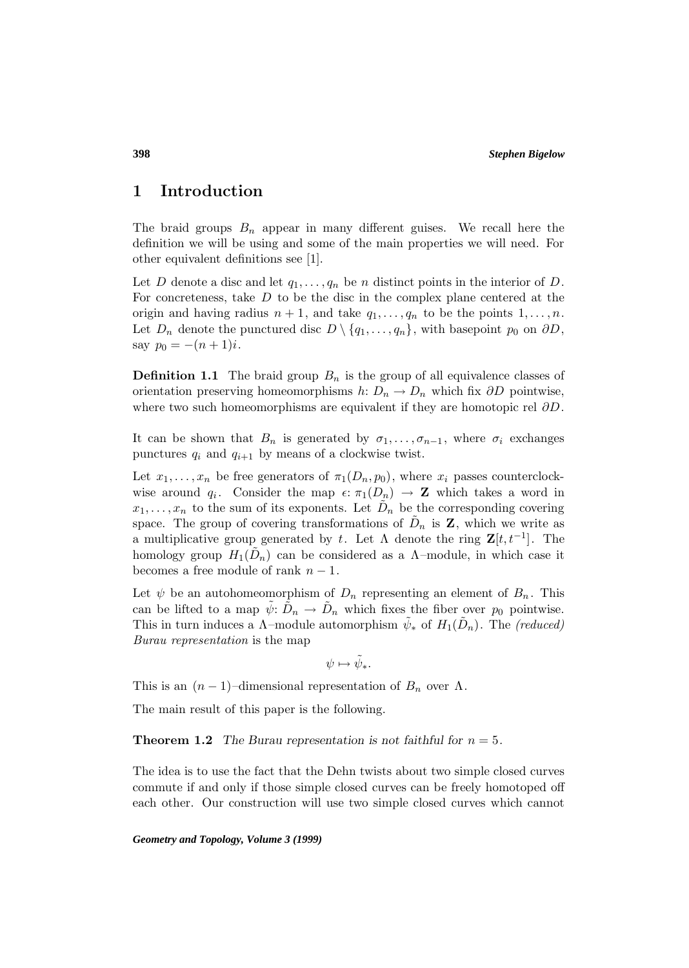### **1 Introduction**

The braid groups  $B_n$  appear in many different guises. We recall here the definition we will be using and some of the main properties we will need. For other equivalent definitions see [1].

Let D denote a disc and let  $q_1, \ldots, q_n$  be n distinct points in the interior of D. For concreteness, take  $D$  to be the disc in the complex plane centered at the origin and having radius  $n + 1$ , and take  $q_1, \ldots, q_n$  to be the points  $1, \ldots, n$ . Let  $D_n$  denote the punctured disc  $D \setminus \{q_1,\ldots,q_n\}$ , with basepoint  $p_0$  on  $\partial D$ , say  $p_0 = -(n+1)i$ .

**Definition 1.1** The braid group  $B_n$  is the group of all equivalence classes of orientation preserving homeomorphisms  $h: D_n \to D_n$  which fix  $\partial D$  pointwise, where two such homeomorphisms are equivalent if they are homotopic rel  $\partial D$ .

It can be shown that  $B_n$  is generated by  $\sigma_1, \ldots, \sigma_{n-1}$ , where  $\sigma_i$  exchanges punctures  $q_i$  and  $q_{i+1}$  by means of a clockwise twist.

Let  $x_1, \ldots, x_n$  be free generators of  $\pi_1(D_n, p_0)$ , where  $x_i$  passes counterclockwise around  $q_i$ . Consider the map  $\epsilon: \pi_1(D_n) \to \mathbf{Z}$  which takes a word in  $x_1,\ldots,x_n$  to the sum of its exponents. Let  $D_n$  be the corresponding covering space. The group of covering transformations of  $D_n$  is **Z**, which we write as a multiplicative group generated by t. Let  $\Lambda$  denote the ring  $\mathbf{Z}[t, t^{-1}]$ . The homology group  $H_1(D_n)$  can be considered as a  $\Lambda$ -module, in which case it becomes a free module of rank  $n-1$ .

Let  $\psi$  be an autohomeomorphism of  $D_n$  representing an element of  $B_n$ . This can be lifted to a map  $\psi: D_n \to D_n$  which fixes the fiber over  $p_0$  pointwise. This in turn induces a  $\Lambda$ -module automorphism  $\psi_*$  of  $H_1(D_n)$ . The (reduced) Burau representation is the map

$$
\psi\mapsto\tilde{\psi}_*.
$$

This is an  $(n-1)$ –dimensional representation of  $B_n$  over  $\Lambda$ .

The main result of this paper is the following.

#### **Theorem 1.2** The Burau representation is not faithful for  $n = 5$ .

The idea is to use the fact that the Dehn twists about two simple closed curves commute if and only if those simple closed curves can be freely homotoped off each other. Our construction will use two simple closed curves which cannot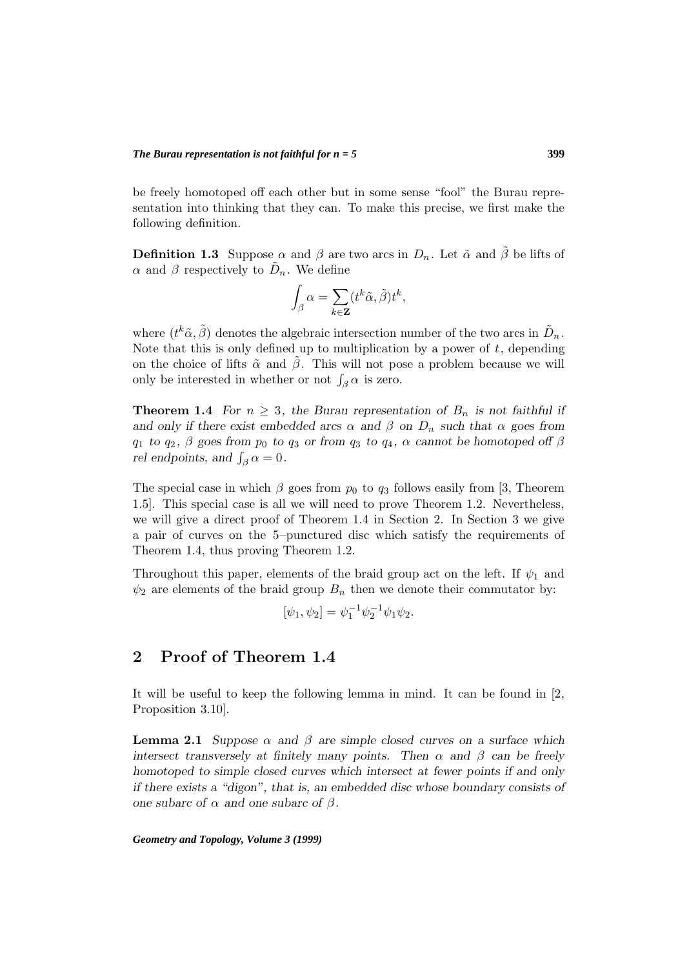be freely homotoped off each other but in some sense "fool" the Burau representation into thinking that they can. To make this precise, we first make the following definition.

**Definition 1.3** Suppose  $\alpha$  and  $\beta$  are two arcs in  $D_n$ . Let  $\tilde{\alpha}$  and  $\tilde{\beta}$  be lifts of  $\alpha$  and  $\beta$  respectively to  $\tilde{D}_n$ . We define

$$
\int_{\beta} \alpha = \sum_{k \in \mathbf{Z}} (t^k \tilde{\alpha}, \tilde{\beta}) t^k,
$$

where  $(t^k \tilde{\alpha}, \tilde{\beta})$  denotes the algebraic intersection number of the two arcs in  $\tilde{D}_n$ . Note that this is only defined up to multiplication by a power of  $t$ , depending on the choice of lifts  $\tilde{\alpha}$  and  $\tilde{\beta}$ . This will not pose a problem because we will only be interested in whether or not  $\int_{\beta} \alpha$  is zero.

**Theorem 1.4** *For*  $n \geq 3$ *, the Burau representation of*  $B_n$  *is not faithful if and only if there exist embedded arcs*  $\alpha$  *and*  $\beta$  *on*  $D_n$  *such that*  $\alpha$  *goes from*  $q_1$  *to*  $q_2$ ,  $\beta$  *goes from*  $p_0$  *to*  $q_3$  *or from*  $q_3$  *to*  $q_4$ ,  $\alpha$  *cannot be homotoped off*  $\beta$ *rel endpoints, and*  $\int_{\beta} \alpha = 0$ *.* 

The special case in which  $\beta$  goes from  $p_0$  to  $q_3$  follows easily from [3, Theorem 1.5]. This special case is all we will need to prove Theorem 1.2. Nevertheless, we will give a direct proof of Theorem 1.4 in Section 2. In Section 3 we give a pair of curves on the 5–punctured disc which satisfy the requirements of Theorem 1.4, thus proving Theorem 1.2.

Throughout this paper, elements of the braid group act on the left. If  $\psi_1$  and  $\psi_2$  are elements of the braid group  $B_n$  then we denote their commutator by:

 $[\psi_1, \psi_2] = \psi_1^{-1} \psi_2^{-1} \psi_1 \psi_2.$ 

## **2 Proof of Theorem 1.4**

It will be useful to keep the following lemma in mind. It can be found in [2, Proposition 3.10].

**Lemma 2.1** *Suppose*  $\alpha$  *and*  $\beta$  *are simple closed curves on a surface which intersect transversely at finitely many points. Then*  $\alpha$  *and*  $\beta$  *can be freely homotoped to simple closed curves which intersect at fewer points if and only if there exists a "digon", that is, an embedded disc whose boundary consists of one subarc of*  $\alpha$  *and one subarc of*  $\beta$ *.*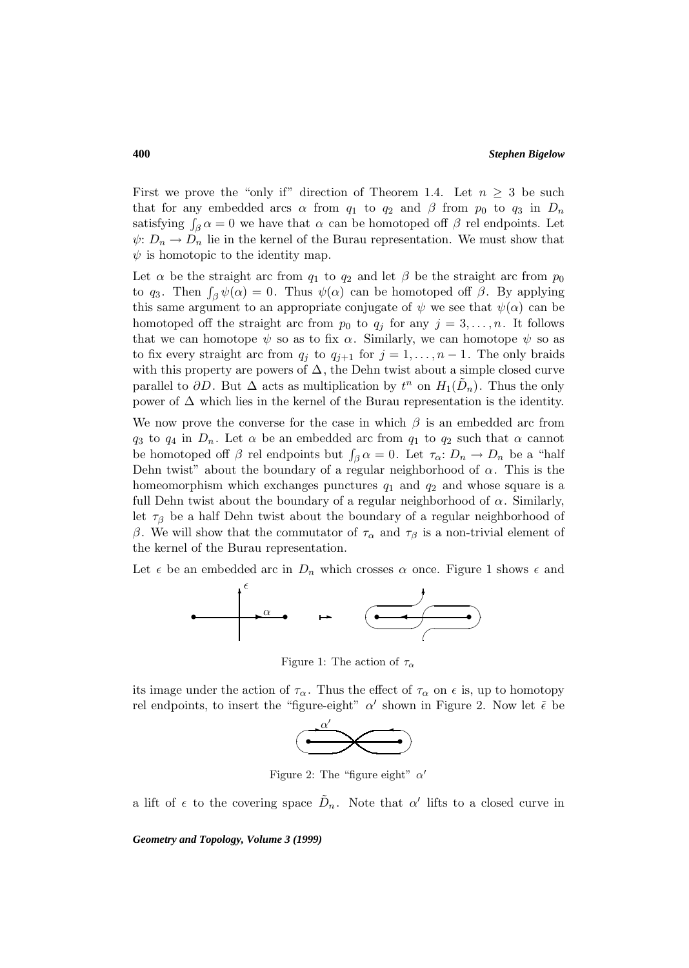First we prove the "only if" direction of Theorem 1.4. Let  $n \geq 3$  be such that for any embedded arcs  $\alpha$  from  $q_1$  to  $q_2$  and  $\beta$  from  $p_0$  to  $q_3$  in  $D_n$ satisfying  $\int_{\beta} \alpha = 0$  we have that  $\alpha$  can be homotoped off  $\beta$  rel endpoints. Let  $\psi: D_n \to D_n$  lie in the kernel of the Burau representation. We must show that  $\psi$  is homotopic to the identity map.

Let  $\alpha$  be the straight arc from  $q_1$  to  $q_2$  and let  $\beta$  be the straight arc from  $p_0$ to q<sub>3</sub>. Then  $\int_{\beta} \psi(\alpha) = 0$ . Thus  $\psi(\alpha)$  can be homotoped off  $\beta$ . By applying this same argument to an appropriate conjugate of  $\psi$  we see that  $\psi(\alpha)$  can be homotoped off the straight arc from  $p_0$  to  $q_j$  for any  $j = 3, \ldots, n$ . It follows that we can homotope  $\psi$  so as to fix  $\alpha$ . Similarly, we can homotope  $\psi$  so as to fix every straight arc from  $q_j$  to  $q_{j+1}$  for  $j = 1, \ldots, n-1$ . The only braids with this property are powers of  $\Delta$ , the Dehn twist about a simple closed curve parallel to  $\partial D$ . But  $\Delta$  acts as multiplication by  $t^n$  on  $H_1(D_n)$ . Thus the only power of  $\Delta$  which lies in the kernel of the Burau representation is the identity.

We now prove the converse for the case in which  $\beta$  is an embedded arc from  $q_3$  to  $q_4$  in  $D_n$ . Let  $\alpha$  be an embedded arc from  $q_1$  to  $q_2$  such that  $\alpha$  cannot be homotoped off  $\beta$  rel endpoints but  $\int_{\beta} \alpha = 0$ . Let  $\tau_{\alpha}: D_n \to D_n$  be a "half Dehn twist" about the boundary of a regular neighborhood of  $\alpha$ . This is the homeomorphism which exchanges punctures  $q_1$  and  $q_2$  and whose square is a full Dehn twist about the boundary of a regular neighborhood of  $\alpha$ . Similarly, let  $\tau_\beta$  be a half Dehn twist about the boundary of a regular neighborhood of β. We will show that the commutator of  $τ_α$  and  $τ_β$  is a non-trivial element of the kernel of the Burau representation.

Let  $\epsilon$  be an embedded arc in  $D_n$  which crosses  $\alpha$  once. Figure 1 shows  $\epsilon$  and



Figure 1: The action of  $\tau_{\alpha}$ 

its image under the action of  $\tau_{\alpha}$ . Thus the effect of  $\tau_{\alpha}$  on  $\epsilon$  is, up to homotopy rel endpoints, to insert the "figure-eight"  $\alpha'$  shown in Figure 2. Now let  $\tilde{\epsilon}$  be



Figure 2: The "figure eight"  $\alpha'$ 

a lift of  $\epsilon$  to the covering space  $D_n$ . Note that  $\alpha'$  lifts to a closed curve in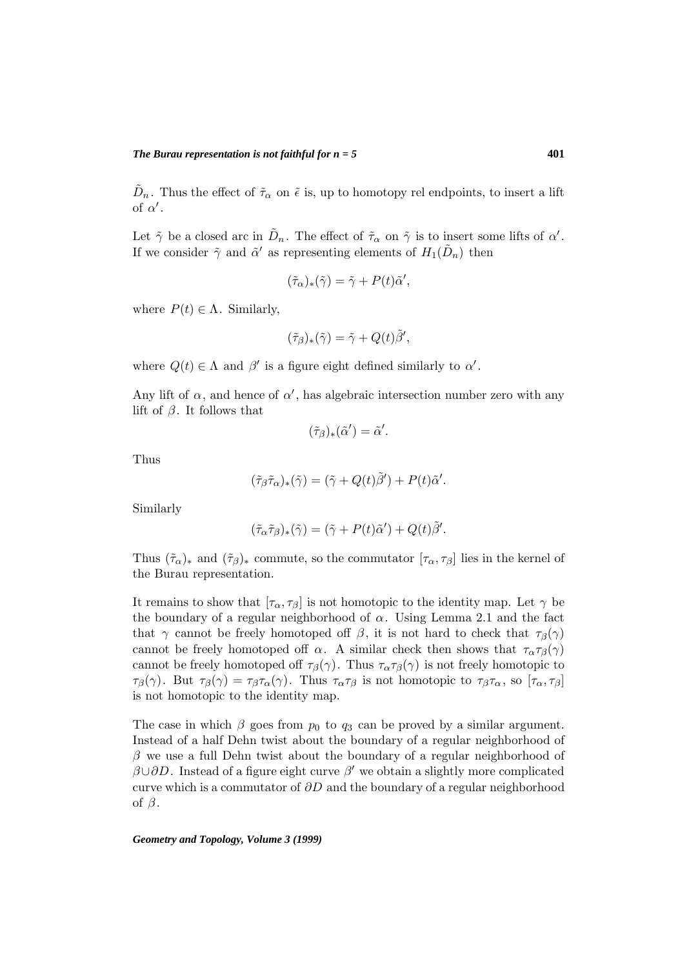$D_n$ . Thus the effect of  $\tilde{\tau}_{\alpha}$  on  $\tilde{\epsilon}$  is, up to homotopy rel endpoints, to insert a lift of  $\alpha'$ .

Let  $\tilde{\gamma}$  be a closed arc in  $\tilde{D}_n$ . The effect of  $\tilde{\tau}_{\alpha}$  on  $\tilde{\gamma}$  is to insert some lifts of  $\alpha'$ . If we consider  $\tilde{\gamma}$  and  $\tilde{\alpha}'$  as representing elements of  $H_1(D_n)$  then

$$
(\tilde{\tau}_{\alpha})_{*}(\tilde{\gamma}) = \tilde{\gamma} + P(t)\tilde{\alpha}',
$$

where  $P(t) \in \Lambda$ . Similarly,

$$
(\tilde{\tau}_{\beta})_*(\tilde{\gamma}) = \tilde{\gamma} + Q(t)\tilde{\beta}',
$$

where  $Q(t) \in \Lambda$  and  $\beta'$  is a figure eight defined similarly to  $\alpha'$ .

Any lift of  $\alpha$ , and hence of  $\alpha'$ , has algebraic intersection number zero with any lift of  $\beta$ . It follows that

$$
(\tilde{\tau}_{\beta})_*(\tilde{\alpha}')=\tilde{\alpha}'.
$$

Thus

$$
(\tilde{\tau}_{\beta}\tilde{\tau}_{\alpha})_{*}(\tilde{\gamma}) = (\tilde{\gamma} + Q(t)\tilde{\beta}') + P(t)\tilde{\alpha}'.
$$

Similarly

$$
(\tilde{\tau}_{\alpha}\tilde{\tau}_{\beta})_{*}(\tilde{\gamma}) = (\tilde{\gamma} + P(t)\tilde{\alpha}') + Q(t)\tilde{\beta}'.
$$

Thus  $(\tilde{\tau}_{\alpha})_*$  and  $(\tilde{\tau}_{\beta})_*$  commute, so the commutator  $[\tau_{\alpha}, \tau_{\beta}]$  lies in the kernel of the Burau representation.

It remains to show that  $[\tau_{\alpha}, \tau_{\beta}]$  is not homotopic to the identity map. Let  $\gamma$  be the boundary of a regular neighborhood of  $\alpha$ . Using Lemma 2.1 and the fact that  $\gamma$  cannot be freely homotoped off  $\beta$ , it is not hard to check that  $\tau_{\beta}(\gamma)$ cannot be freely homotoped off  $\alpha$ . A similar check then shows that  $\tau_{\alpha}\tau_{\beta}(\gamma)$ cannot be freely homotoped off  $\tau_\beta(\gamma)$ . Thus  $\tau_\alpha \tau_\beta(\gamma)$  is not freely homotopic to  $\tau_\beta(\gamma)$ . But  $\tau_\beta(\gamma) = \tau_\beta \tau_\alpha(\gamma)$ . Thus  $\tau_\alpha \tau_\beta$  is not homotopic to  $\tau_\beta \tau_\alpha$ , so  $[\tau_\alpha, \tau_\beta]$ is not homotopic to the identity map.

The case in which  $\beta$  goes from  $p_0$  to  $q_3$  can be proved by a similar argument. Instead of a half Dehn twist about the boundary of a regular neighborhood of  $\beta$  we use a full Dehn twist about the boundary of a regular neighborhood of  $\beta$ ∪ $\partial$ D. Instead of a figure eight curve  $\beta'$  we obtain a slightly more complicated curve which is a commutator of  $\partial D$  and the boundary of a regular neighborhood of  $\beta$ .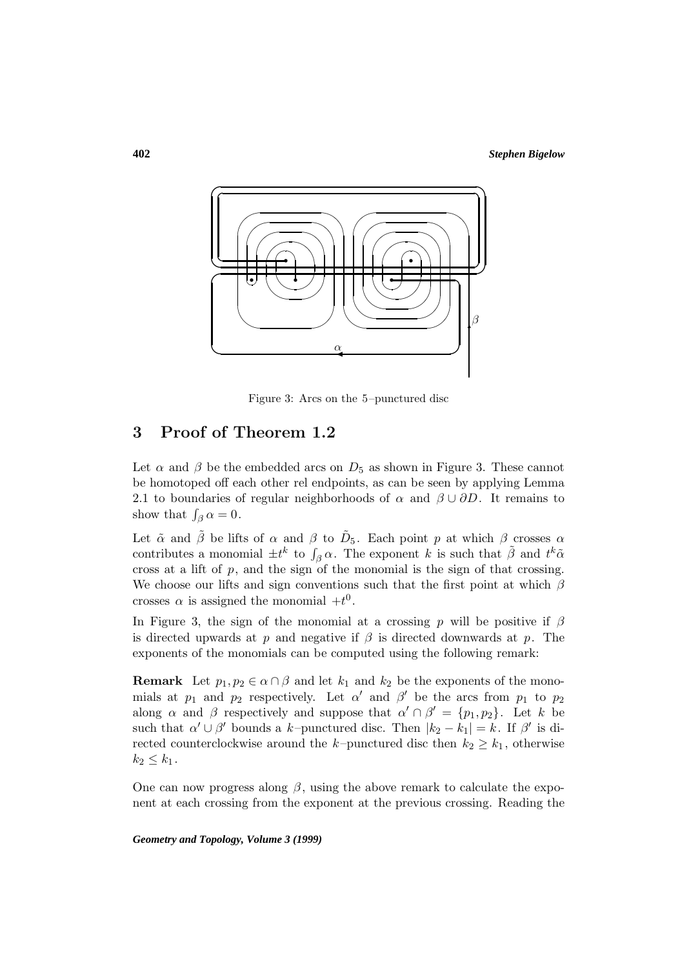

Figure 3: Arcs on the 5–punctured disc

## **3 Proof of Theorem 1.2**

Let  $\alpha$  and  $\beta$  be the embedded arcs on  $D_5$  as shown in Figure 3. These cannot be homotoped off each other rel endpoints, as can be seen by applying Lemma 2.1 to boundaries of regular neighborhoods of  $\alpha$  and  $\beta \cup \partial D$ . It remains to show that  $\int_{\beta} \alpha = 0$ .

Let  $\tilde{\alpha}$  and  $\tilde{\beta}$  be lifts of  $\alpha$  and  $\beta$  to  $\tilde{D}_5$ . Each point p at which  $\beta$  crosses  $\alpha$ contributes a monomial  $\pm t^k$  to  $\int_{\beta} \alpha$ . The exponent k is such that  $\tilde{\beta}$  and  $t^k \tilde{\alpha}$ cross at a lift of  $p$ , and the sign of the monomial is the sign of that crossing. We choose our lifts and sign conventions such that the first point at which  $\beta$ crosses  $\alpha$  is assigned the monomial  $+t^0$ .

In Figure 3, the sign of the monomial at a crossing p will be positive if  $\beta$ is directed upwards at p and negative if  $\beta$  is directed downwards at p. The exponents of the monomials can be computed using the following remark:

**Remark** Let  $p_1, p_2 \in \alpha \cap \beta$  and let  $k_1$  and  $k_2$  be the exponents of the monomials at  $p_1$  and  $p_2$  respectively. Let  $\alpha'$  and  $\beta'$  be the arcs from  $p_1$  to  $p_2$ along  $\alpha$  and  $\beta$  respectively and suppose that  $\alpha' \cap \beta' = \{p_1, p_2\}$ . Let k be such that  $\alpha' \cup \beta'$  bounds a k–punctured disc. Then  $|k_2 - k_1| = k$ . If  $\beta'$  is directed counterclockwise around the k–punctured disc then  $k_2 \geq k_1$ , otherwise  $k_2\leq k_1$ .

One can now progress along  $\beta$ , using the above remark to calculate the exponent at each crossing from the exponent at the previous crossing. Reading the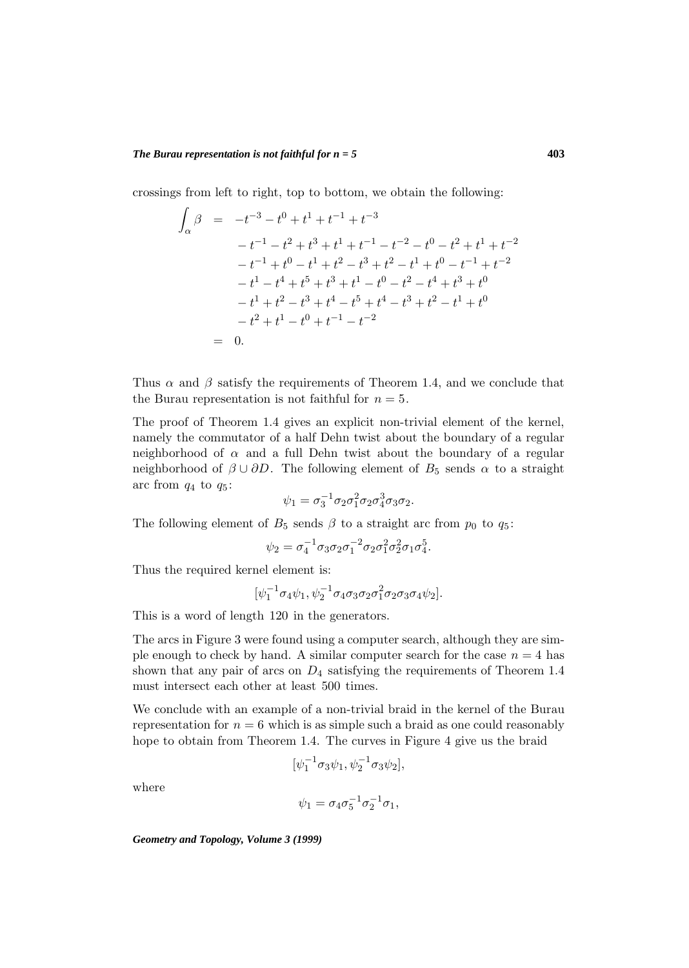crossings from left to right, top to bottom, we obtain the following:

$$
\int_{\alpha} \beta = -t^{-3} - t^{0} + t^{1} + t^{-1} + t^{-3}
$$
\n
$$
-t^{-1} - t^{2} + t^{3} + t^{1} + t^{-1} - t^{-2} - t^{0} - t^{2} + t^{1} + t^{-2}
$$
\n
$$
-t^{-1} + t^{0} - t^{1} + t^{2} - t^{3} + t^{2} - t^{1} + t^{0} - t^{-1} + t^{-2}
$$
\n
$$
-t^{1} - t^{4} + t^{5} + t^{3} + t^{1} - t^{0} - t^{2} - t^{4} + t^{3} + t^{0}
$$
\n
$$
-t^{1} + t^{2} - t^{3} + t^{4} - t^{5} + t^{4} - t^{3} + t^{2} - t^{1} + t^{0}
$$
\n
$$
-t^{2} + t^{1} - t^{0} + t^{-1} - t^{-2}
$$
\n
$$
= 0.
$$

Thus  $\alpha$  and  $\beta$  satisfy the requirements of Theorem 1.4, and we conclude that the Burau representation is not faithful for  $n = 5$ .

The proof of Theorem 1.4 gives an explicit non-trivial element of the kernel, namely the commutator of a half Dehn twist about the boundary of a regular neighborhood of  $\alpha$  and a full Dehn twist about the boundary of a regular neighborhood of  $\beta \cup \partial D$ . The following element of  $B_5$  sends  $\alpha$  to a straight arc from  $q_4$  to  $q_5$ :

$$
\psi_1 = \sigma_3^{-1} \sigma_2 \sigma_1^2 \sigma_2 \sigma_4^3 \sigma_3 \sigma_2.
$$

The following element of  $B_5$  sends  $\beta$  to a straight arc from  $p_0$  to  $q_5$ :

$$
\psi_2 = \sigma_4^{-1} \sigma_3 \sigma_2 \sigma_1^{-2} \sigma_2 \sigma_1^2 \sigma_2^2 \sigma_1 \sigma_4^5.
$$

Thus the required kernel element is:

$$
[\psi_1^{-1}\sigma_4\psi_1,\psi_2^{-1}\sigma_4\sigma_3\sigma_2\sigma_1^2\sigma_2\sigma_3\sigma_4\psi_2].
$$

This is a word of length 120 in the generators.

The arcs in Figure 3 were found using a computer search, although they are simple enough to check by hand. A similar computer search for the case  $n = 4$  has shown that any pair of arcs on  $D_4$  satisfying the requirements of Theorem 1.4 must intersect each other at least 500 times.

We conclude with an example of a non-trivial braid in the kernel of the Burau representation for  $n = 6$  which is as simple such a braid as one could reasonably hope to obtain from Theorem 1.4. The curves in Figure 4 give us the braid

$$
[\psi_1^{-1}\sigma_3\psi_1, \psi_2^{-1}\sigma_3\psi_2],
$$

where

$$
\psi_1 = \sigma_4 \sigma_5^{-1} \sigma_2^{-1} \sigma_1,
$$